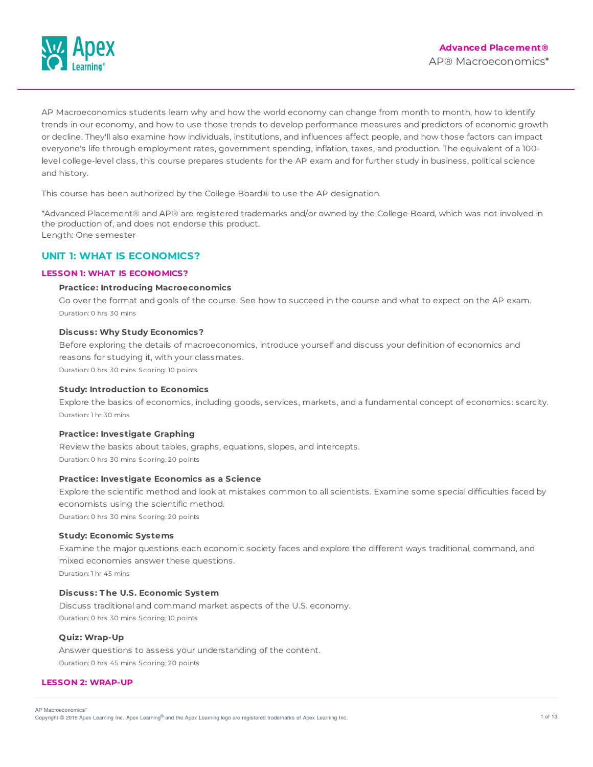

AP Macroeconomics students learn why and how the world economy can change from month to month, how to identify trends in our economy, and how to use those trends to develop performance measures and predictors of economic growth or decline. They'll also examine how individuals, institutions, and influences affect people, and how those factors can impact everyone's life through employment rates, government spending, inflation, taxes, and production. The equivalent of a 100 level college-level class, this course prepares students for the AP exam and for further study in business, political science and history.

This course has been authorized by the College Board® to use the AP designation.

\*Advanced Placement® and AP® are registered trademarks and/or owned by the College Board, which was not involved in the production of, and does not endorse this product. Length: One semester

# **UNIT 1: WHAT IS ECONOMICS?**

## **LESSON 1: WHAT IS ECONOMICS?**

## **Practice: Introducing Macroeconomics**

Go over the format and goals of the course. See how to succeed in the course and what to expect on the AP exam. Duration: 0 hrs 30 mins

#### **Discuss: Why Study Economics?**

Before exploring the details of macroeconomics, introduce yourself and discuss your definition of economics and reasons for studying it, with your classmates. Duration: 0 hrs 30 mins Scoring: 10 points

**Study: Introduction to Economics**

Explore the basics of economics, including goods, services, markets, and a fundamental concept of economics: scarcity. Duration: 1 hr 30 mins

#### **Practice: Investigate Graphing**

Review the basics about tables, graphs, equations, slopes, and intercepts. Duration: 0 hrs 30 mins Scoring: 20 points

## **Practice: Investigate Economics as a Science**

Explore the scientific method and look at mistakes common to all scientists. Examine some special difficulties faced by economists using the scientific method.

Duration: 0 hrs 30 mins Scoring: 20 points

#### **Study: Economic Systems**

Examine the major questions each economic society faces and explore the different ways traditional, command, and mixed economies answer these questions.

Duration: 1 hr 45 mins

## **Discuss: T he U.S. Economic System**

Discuss traditional and command market aspects of the U.S. economy. Duration: 0 hrs 30 mins Scoring: 10 points

## **Quiz: Wrap-Up**

Answer questions to assess your understanding of the content. Duration: 0 hrs 45 mins Scoring: 20 points

## **LESSON 2: WRAP-UP**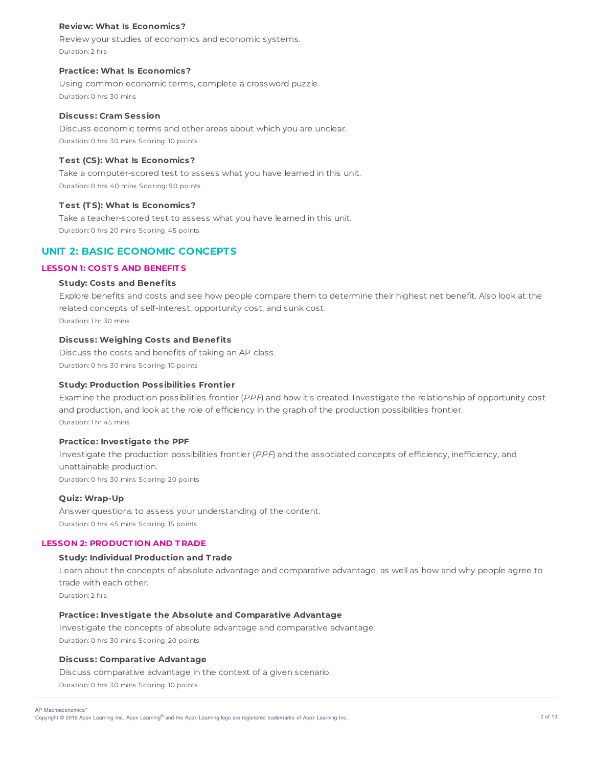### **Review: What Is Economics?**

Review your studies of economics and economic systems. Duration: 2 hrs

# **Practice: What Is Economics?**

Using common economic terms, complete a crossword puzzle. Duration: 0 hrs 30 mins

## **Discuss: Cram Session**

Discuss economic terms and other areas about which you are unclear. Duration: 0 hrs 30 mins Scoring: 10 points

# **T est (CS): What Is Economics?**

Take a computer-scored test to assess what you have learned in this unit. Duration: 0 hrs 40 mins Scoring: 90 points

# **T est (T S): What Is Economics?**

Take a teacher-scored test to assess what you have learned in this unit. Duration: 0 hrs 20 mins Scoring: 45 points

# **UNIT 2: BASIC ECONOMIC CONCEPTS**

# **LESSON 1: COST S AND BENEFIT S**

# **Study: Costs and Benefits**

Explore benefits and costs and see how people compare them to determine their highest net benefit. Also look at the related concepts of self-interest, opportunity cost, and sunk cost. Duration: 1 hr 30 mins

## **Discuss: Weighing Costs and Benefits**

Discuss the costs and benefits of taking an AP class. Duration: 0 hrs 30 mins Scoring: 10 points

## **Study: Production Possibilities Frontier**

Examine the production possibilities frontier (PPF) and how it's created. Investigate the relationship of opportunity cost and production, and look at the role of efficiency in the graph of the production possibilities frontier. Duration: 1 hr 45 mins

#### **Practice: Investigate the PPF**

Investigate the production possibilities frontier (PPF) and the associated concepts of efficiency, inefficiency, and unattainable production. Duration: 0 hrs 30 mins Scoring: 20 points

#### **Quiz: Wrap-Up**

Answer questions to assess your understanding of the content. Duration: 0 hrs 45 mins Scoring: 15 points

# **LESSON 2: PRODUCT ION AND T RADE**

## **Study: Individual Production and T rade**

Learn about the concepts of absolute advantage and comparative advantage, as well as how and why people agree to trade with each other. Duration: 2 hrs

## **Practice: Investigate the Absolute and Comparative Advantage**

Investigate the concepts of absolute advantage and comparative advantage. Duration: 0 hrs 30 mins Scoring: 20 points

## **Discuss: Comparative Advantage**

Discuss comparative advantage in the context of a given scenario. Duration: 0 hrs 30 mins Scoring: 10 points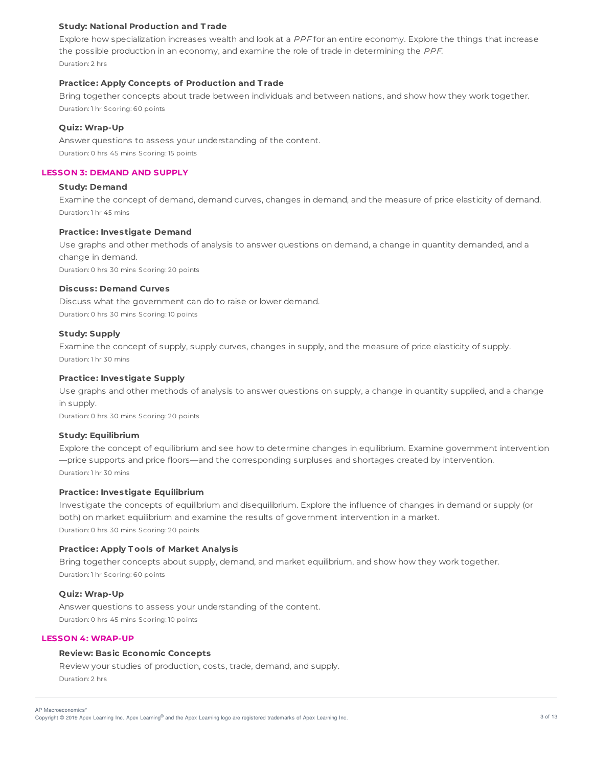## **Study: National Production and T rade**

Explore how specialization increases wealth and look at a PPF for an entire economy. Explore the things that increase the possible production in an economy, and examine the role of trade in determining the PPF. Duration: 2 hrs

### **Practice: Apply Concepts of Production and T rade**

Bring together concepts about trade between individuals and between nations, and show how they work together. Duration: 1 hr Scoring: 60 points

## **Quiz: Wrap-Up**

Answer questions to assess your understanding of the content. Duration: 0 hrs 45 mins Scoring: 15 points

### **LESSON 3: DEMAND AND SUPPLY**

## **Study: Demand**

Examine the concept of demand, demand curves, changes in demand, and the measure of price elasticity of demand. Duration: 1 hr 45 mins

## **Practice: Investigate Demand**

Use graphs and other methods of analysis to answer questions on demand, a change in quantity demanded, and a change in demand. Duration: 0 hrs 30 mins Scoring: 20 points

## **Discuss: Demand Curves**

Discuss what the government can do to raise or lower demand. Duration: 0 hrs 30 mins Scoring: 10 points

## **Study: Supply**

Examine the concept of supply, supply curves, changes in supply, and the measure of price elasticity of supply. Duration: 1 hr 30 mins

## **Practice: Investigate Supply**

Use graphs and other methods of analysis to answer questions on supply, a change in quantity supplied, and a change in supply.

Duration: 0 hrs 30 mins Scoring: 20 points

### **Study: Equilibrium**

Explore the concept of equilibrium and see how to determine changes in equilibrium. Examine government intervention —price supports and price floors—and the corresponding surpluses and shortages created by intervention. Duration: 1 hr 30 mins

### **Practice: Investigate Equilibrium**

Investigate the concepts of equilibrium and disequilibrium. Explore the influence of changes in demand or supply (or both) on market equilibrium and examine the results of government intervention in a market. Duration: 0 hrs 30 mins Scoring: 20 points

## **Practice: Apply T ools of Market Analysis**

Bring together concepts about supply, demand, and market equilibrium, and show how they work together. Duration: 1 hr Scoring: 60 points

## **Quiz: Wrap-Up**

Answer questions to assess your understanding of the content. Duration: 0 hrs 45 mins Scoring: 10 points

## **LESSON 4: WRAP-UP**

## **Review: Basic Economic Concepts**

Review your studies of production, costs, trade, demand, and supply. Duration: 2 hrs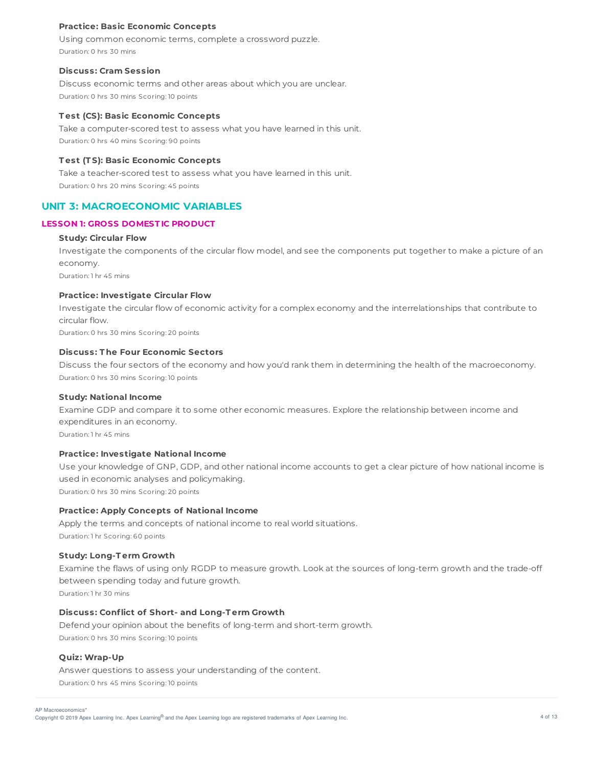## **Practice: Basic Economic Concepts**

Using common economic terms, complete a crossword puzzle. Duration: 0 hrs 30 mins

#### **Discuss: Cram Session**

Discuss economic terms and other areas about which you are unclear. Duration: 0 hrs 30 mins Scoring: 10 points

#### **T est (CS): Basic Economic Concepts**

Take a computer-scored test to assess what you have learned in this unit. Duration: 0 hrs 40 mins Scoring: 90 points

#### **T est (T S): Basic Economic Concepts**

Take a teacher-scored test to assess what you have learned in this unit. Duration: 0 hrs 20 mins Scoring: 45 points

## **UNIT 3: MACROECONOMIC VARIABLES**

## **LESSON 1: GROSS DOMEST IC PRODUCT**

## **Study: Circular Flow**

Investigate the components of the circular flow model, and see the components put together to make a picture of an economy.

Duration: 1 hr 45 mins

## **Practice: Investigate Circular Flow**

Investigate the circular flow of economic activity for a complex economy and the interrelationships that contribute to circular flow. Duration: 0 hrs 30 mins Scoring: 20 points

**Discuss: T he Four Economic Sectors**

Discuss the four sectors of the economy and how you'd rank them in determining the health of the macroeconomy. Duration: 0 hrs 30 mins Scoring: 10 points

### **Study: National Income**

Examine GDP and compare it to some other economic measures. Explore the relationship between income and expenditures in an economy.

Duration: 1 hr 45 mins

### **Practice: Investigate National Income**

Use your knowledge of GNP, GDP, and other national income accounts to get a clear picture of how national income is used in economic analyses and policymaking.

Duration: 0 hrs 30 mins Scoring: 20 points

## **Practice: Apply Concepts of National Income**

Apply the terms and concepts of national income to real world situations. Duration: 1 hr Scoring: 60 points

#### **Study: Long-T erm Growth**

Examine the flaws of using only RGDP to measure growth. Look at the sources of long-term growth and the trade-off between spending today and future growth.

Duration: 1 hr 30 mins

### **Discuss: Conflict of Short- and Long-T erm Growth**

Defend your opinion about the benefits of long-term and short-term growth. Duration: 0 hrs 30 mins Scoring: 10 points

## **Quiz: Wrap-Up**

Answer questions to assess your understanding of the content. Duration: 0 hrs 45 mins Scoring: 10 points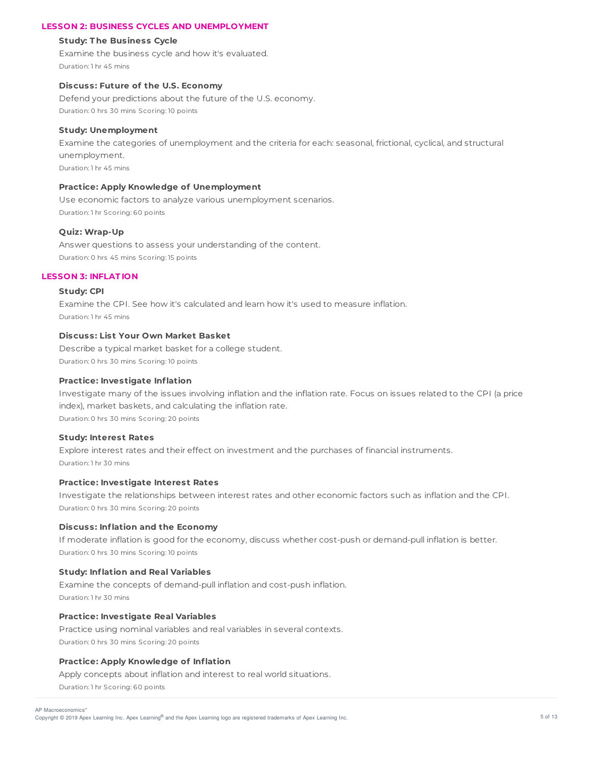## **LESSON 2: BUSINESS CYCLES AND UNEMPLOYMENT**

#### **Study: T he Business Cycle**

Examine the business cycle and how it's evaluated. Duration: 1 hr 45 mins

## **Discuss: Future of the U.S. Economy**

Defend your predictions about the future of the U.S. economy. Duration: 0 hrs 30 mins Scoring: 10 points

#### **Study: Unemployment**

Examine the categories of unemployment and the criteria for each: seasonal, frictional, cyclical, and structural unemployment. Duration: 1 hr 45 mins

## **Practice: Apply Knowledge of Unemployment**

Use economic factors to analyze various unemployment scenarios. Duration: 1 hr Scoring: 60 points

#### **Quiz: Wrap-Up**

Answer questions to assess your understanding of the content. Duration: 0 hrs 45 mins Scoring: 15 points

## **LESSON 3: INFLAT ION**

#### **Study: CPI**

Examine the CPI. See how it's calculated and learn how it's used to measure inflation. Duration: 1 hr 45 mins

## **Discuss: List Your Own Market Basket**

Describe a typical market basket for a college student. Duration: 0 hrs 30 mins Scoring: 10 points

#### **Practice: Investigate Inflation**

Investigate many of the issues involving inflation and the inflation rate. Focus on issues related to the CPI (a price index), market baskets, and calculating the inflation rate. Duration: 0 hrs 30 mins Scoring: 20 points

#### **Study: Interest Rates**

Explore interest rates and their effect on investment and the purchases of financial instruments. Duration: 1 hr 30 mins

#### **Practice: Investigate Interest Rates**

Investigate the relationships between interest rates and other economic factors such as inflation and the CPI. Duration: 0 hrs 30 mins Scoring: 20 points

### **Discuss: Inflation and the Economy**

If moderate inflation is good for the economy, discuss whether cost-push or demand-pull inflation is better. Duration: 0 hrs 30 mins Scoring: 10 points

#### **Study: Inflation and Real Variables**

Examine the concepts of demand-pull inflation and cost-push inflation. Duration: 1 hr 30 mins

## **Practice: Investigate Real Variables**

Practice using nominal variables and real variables in several contexts. Duration: 0 hrs 30 mins Scoring: 20 points

#### **Practice: Apply Knowledge of Inflation**

Apply concepts about inflation and interest to real world situations. Duration: 1 hr Scoring: 60 points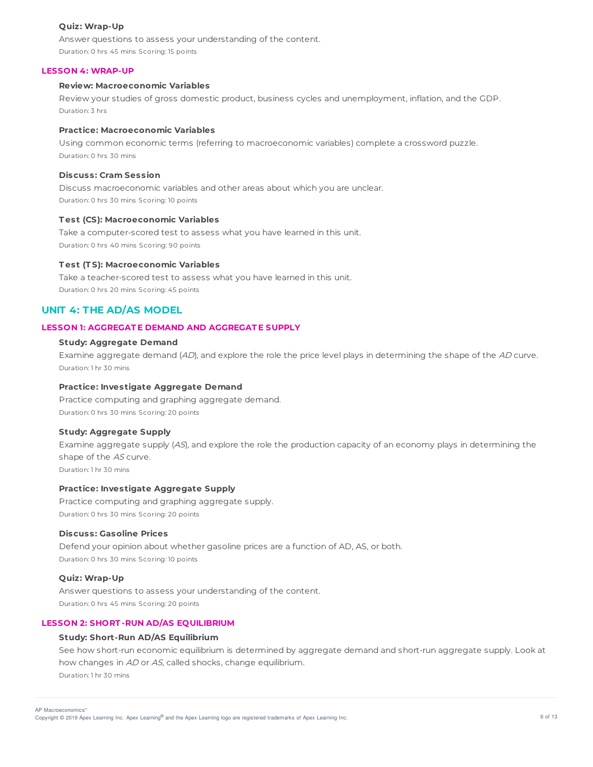## **Quiz: Wrap-Up**

Answer questions to assess your understanding of the content. Duration: 0 hrs 45 mins Scoring: 15 points

### **LESSON 4: WRAP-UP**

## **Review: Macroeconomic Variables**

Review your studies of gross domestic product, business cycles and unemployment, inflation, and the GDP. Duration: 3 hrs

### **Practice: Macroeconomic Variables**

Using common economic terms (referring to macroeconomic variables) complete a crossword puzzle. Duration: 0 hrs 30 mins

## **Discuss: Cram Session**

Discuss macroeconomic variables and other areas about which you are unclear. Duration: 0 hrs 30 mins Scoring: 10 points

#### **T est (CS): Macroeconomic Variables**

Take a computer-scored test to assess what you have learned in this unit. Duration: 0 hrs 40 mins Scoring: 90 points

#### **T est (T S): Macroeconomic Variables**

Take a teacher-scored test to assess what you have learned in this unit. Duration: 0 hrs 20 mins Scoring: 45 points

# **UNIT 4: THE AD/AS MODEL**

#### **LESSON 1: AGGREGAT E DEMAND AND AGGREGAT E SUPPLY**

## **Study: Aggregate Demand**

Examine aggregate demand (AD), and explore the role the price level plays in determining the shape of the AD curve. Duration: 1 hr 30 mins

## **Practice: Investigate Aggregate Demand**

Practice computing and graphing aggregate demand. Duration: 0 hrs 30 mins Scoring: 20 points

## **Study: Aggregate Supply**

Examine aggregate supply (AS), and explore the role the production capacity of an economy plays in determining the shape of the AS curve. Duration: 1 hr 30 mins

## **Practice: Investigate Aggregate Supply**

Practice computing and graphing aggregate supply. Duration: 0 hrs 30 mins Scoring: 20 points

#### **Discuss: Gasoline Prices**

Defend your opinion about whether gasoline prices are a function of AD, AS, or both. Duration: 0 hrs 30 mins Scoring: 10 points

## **Quiz: Wrap-Up**

Answer questions to assess your understanding of the content. Duration: 0 hrs 45 mins Scoring: 20 points

## **LESSON 2: SHORT -RUN AD/AS EQUILIBRIUM**

## **Study: Short-Run AD/AS Equilibrium**

See how short-run economic equilibrium is determined by aggregate demand and short-run aggregate supply. Look at how changes in AD or AS, called shocks, change equilibrium. Duration: 1 hr 30 mins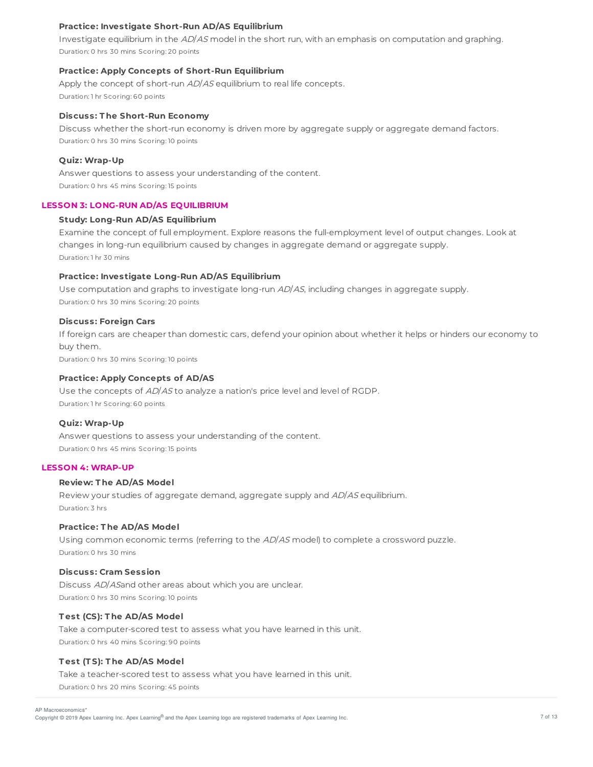## **Practice: Investigate Short-Run AD/AS Equilibrium**

Investigate equilibrium in the AD/AS model in the short run, with an emphasis on computation and graphing. Duration: 0 hrs 30 mins Scoring: 20 points

## **Practice: Apply Concepts of Short-Run Equilibrium**

Apply the concept of short-run AD/AS equilibrium to real life concepts. Duration: 1 hr Scoring: 60 points

#### **Discuss: T he Short-Run Economy**

Discuss whether the short-run economy is driven more by aggregate supply or aggregate demand factors. Duration: 0 hrs 30 mins Scoring: 10 points

#### **Quiz: Wrap-Up**

Answer questions to assess your understanding of the content. Duration: 0 hrs 45 mins Scoring: 15 points

### **LESSON 3: LONG-RUN AD/AS EQUILIBRIUM**

### **Study: Long-Run AD/AS Equilibrium**

Examine the concept of full employment. Explore reasons the full-employment level of output changes. Look at changes in long-run equilibrium caused by changes in aggregate demand or aggregate supply. Duration: 1 hr 30 mins

## **Practice: Investigate Long-Run AD/AS Equilibrium**

Use computation and graphs to investigate long-run AD/AS, including changes in aggregate supply. Duration: 0 hrs 30 mins Scoring: 20 points

#### **Discuss: Foreign Cars**

If foreign cars are cheaper than domestic cars, defend your opinion about whether it helps or hinders our economy to buy them.

Duration: 0 hrs 30 mins Scoring: 10 points

### **Practice: Apply Concepts of AD/AS**

Use the concepts of AD/AS to analyze a nation's price level and level of RGDP. Duration: 1 hr Scoring: 60 points

#### **Quiz: Wrap-Up**

Answer questions to assess your understanding of the content. Duration: 0 hrs 45 mins Scoring: 15 points

### **LESSON 4: WRAP-UP**

### **Review: T he AD/AS Model**

Review your studies of aggregate demand, aggregate supply and AD/AS equilibrium. Duration: 3 hrs

## **Practice: T he AD/AS Model**

Using common economic terms (referring to the AD/AS model) to complete a crossword puzzle. Duration: 0 hrs 30 mins

## **Discuss: Cram Session**

Discuss AD/ASand other areas about which you are unclear. Duration: 0 hrs 30 mins Scoring: 10 points

## **T est (CS): T he AD/AS Model**

Take a computer-scored test to assess what you have learned in this unit. Duration: 0 hrs 40 mins Scoring: 90 points

#### **T est (T S): T he AD/AS Model**

Take a teacher-scored test to assess what you have learned in this unit. Duration: 0 hrs 20 mins Scoring: 45 points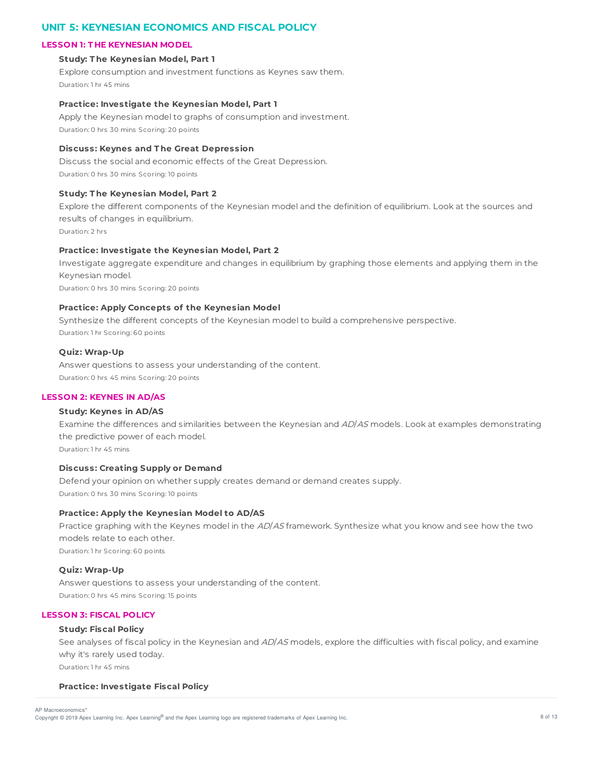# **UNIT 5: KEYNESIAN ECONOMICS AND FISCAL POLICY**

## **LESSON 1: T HE KEYNESIAN MODEL**

### **Study: T he Keynesian Model, Part 1**

Explore consumption and investment functions as Keynes saw them. Duration: 1 hr 45 mins

### **Practice: Investigate the Keynesian Model, Part 1**

Apply the Keynesian model to graphs of consumption and investment. Duration: 0 hrs 30 mins Scoring: 20 points

## **Discuss: Keynes and T he Great Depression**

Discuss the social and economic effects of the Great Depression. Duration: 0 hrs 30 mins Scoring: 10 points

## **Study: T he Keynesian Model, Part 2**

Explore the different components of the Keynesian model and the definition of equilibrium. Look at the sources and results of changes in equilibrium.

Duration: 2 hrs

## **Practice: Investigate the Keynesian Model, Part 2**

Investigate aggregate expenditure and changes in equilibrium by graphing those elements and applying them in the Keynesian model.

Duration: 0 hrs 30 mins Scoring: 20 points

## **Practice: Apply Concepts of the Keynesian Model**

Synthesize the different concepts of the Keynesian model to build a comprehensive perspective. Duration: 1 hr Scoring: 60 points

## **Quiz: Wrap-Up**

Answer questions to assess your understanding of the content. Duration: 0 hrs 45 mins Scoring: 20 points

#### **LESSON 2: KEYNES IN AD/AS**

### **Study: Keynes in AD/AS**

Examine the differences and similarities between the Keynesian and AD/AS models. Look at examples demonstrating the predictive power of each model. Duration: 1 hr 45 mins

## **Discuss: Creating Supply or Demand**

Defend your opinion on whether supply creates demand or demand creates supply. Duration: 0 hrs 30 mins Scoring: 10 points

### **Practice: Apply the Keynesian Model to AD/AS**

Practice graphing with the Keynes model in the AD/AS framework. Synthesize what you know and see how the two models relate to each other. Duration: 1 hr Scoring: 60 points

## **Quiz: Wrap-Up**

Answer questions to assess your understanding of the content. Duration: 0 hrs 45 mins Scoring: 15 points

# **LESSON 3: FISCAL POLICY**

## **Study: Fiscal Policy**

See analyses of fiscal policy in the Keynesian and AD/AS models, explore the difficulties with fiscal policy, and examine why it's rarely used today. Duration: 1 hr 45 mins

# **Practice: Investigate Fiscal Policy**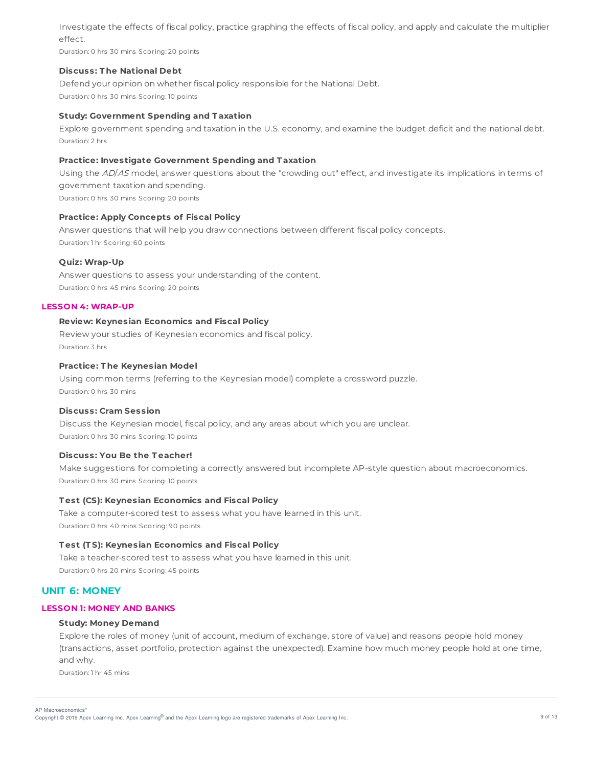Investigate the effects of fiscal policy, practice graphing the effects of fiscal policy, and apply and calculate the multiplier effect.

Duration: 0 hrs 30 mins Scoring: 20 points

## **Discuss: T he National Debt**

Defend your opinion on whether fiscal policy responsible for the National Debt. Duration: 0 hrs 30 mins Scoring: 10 points

## **Study: Government Spending and T axation**

Explore government spending and taxation in the U.S. economy, and examine the budget deficit and the national debt. Duration: 2 hrs

## **Practice: Investigate Government Spending and T axation**

Using the AD/AS model, answer questions about the "crowding out" effect, and investigate its implications in terms of government taxation and spending.

Duration: 0 hrs 30 mins Scoring: 20 points

## **Practice: Apply Concepts of Fiscal Policy**

Answer questions that will help you draw connections between different fiscal policy concepts. Duration: 1 hr Scoring: 60 points

## **Quiz: Wrap-Up**

Answer questions to assess your understanding of the content. Duration: 0 hrs 45 mins Scoring: 20 points

#### **LESSON 4: WRAP-UP**

## **Review: Keynesian Economics and Fiscal Policy**

Review your studies of Keynesian economics and fiscal policy. Duration: 3 hrs

## **Practice: T he Keynesian Model**

Using common terms (referring to the Keynesian model) complete a crossword puzzle. Duration: 0 hrs 30 mins

#### **Discuss: Cram Session**

Discuss the Keynesian model, fiscal policy, and any areas about which you are unclear. Duration: 0 hrs 30 mins Scoring: 10 points

## **Discuss: You Be the T eacher!**

Make suggestions for completing a correctly answered but incomplete AP-style question about macroeconomics. Duration: 0 hrs 30 mins Scoring: 10 points

## **T est (CS): Keynesian Economics and Fiscal Policy**

Take a computer-scored test to assess what you have learned in this unit. Duration: 0 hrs 40 mins Scoring: 90 points

#### **T est (T S): Keynesian Economics and Fiscal Policy**

Take a teacher-scored test to assess what you have learned in this unit. Duration: 0 hrs 20 mins Scoring: 45 points

# **UNIT 6: MONEY**

### **LESSON 1: MONEY AND BANKS**

#### **Study: Money Demand**

Explore the roles of money (unit of account, medium of exchange, store of value) and reasons people hold money (transactions, asset portfolio, protection against the unexpected). Examine how much money people hold at one time, and why.

Duration: 1 hr 45 mins

Copyright © 2019 Apex Learning Inc. Apex Learning® and the Apex Learning logo are registered trademarks of Apex Learning Inc. <br>Copyright © 2019 Apex Learning Inc. Apex Learning® and the Apex Learning Iogo are registered tr AP Macroeconomics\*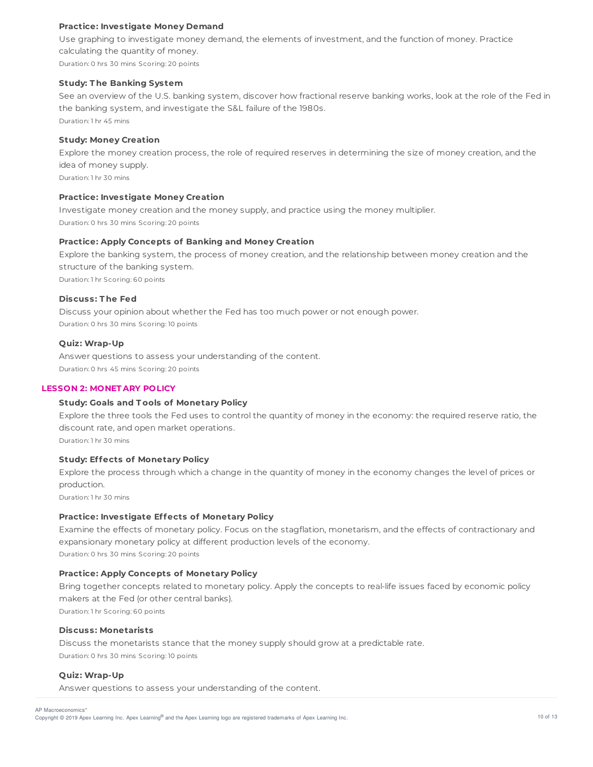## **Practice: Investigate Money Demand**

Use graphing to investigate money demand, the elements of investment, and the function of money. Practice calculating the quantity of money. Duration: 0 hrs 30 mins Scoring: 20 points

## **Study: T he Banking System**

See an overview of the U.S. banking system, discover how fractional reserve banking works, look at the role of the Fed in the banking system, and investigate the S&L failure of the 1980s. Duration: 1 hr 45 mins

**Study: Money Creation**

Explore the money creation process, the role of required reserves in determining the size of money creation, and the idea of money supply.

Duration: 1 hr 30 mins

## **Practice: Investigate Money Creation**

Investigate money creation and the money supply, and practice using the money multiplier. Duration: 0 hrs 30 mins Scoring: 20 points

## **Practice: Apply Concepts of Banking and Money Creation**

Explore the banking system, the process of money creation, and the relationship between money creation and the structure of the banking system. Duration: 1 hr Scoring: 60 points

## **Discuss: T he Fed**

Discuss your opinion about whether the Fed has too much power or not enough power. Duration: 0 hrs 30 mins Scoring: 10 points

## **Quiz: Wrap-Up**

Answer questions to assess your understanding of the content. Duration: 0 hrs 45 mins Scoring: 20 points

## **LESSON 2: MONET ARY POLICY**

## **Study: Goals and T ools of Monetary Policy**

Explore the three tools the Fed uses to control the quantity of money in the economy: the required reserve ratio, the discount rate, and open market operations.

Duration: 1 hr 30 mins

## **Study: Effects of Monetary Policy**

Explore the process through which a change in the quantity of money in the economy changes the level of prices or production.

Duration: 1 hr 30 mins

## **Practice: Investigate Effects of Monetary Policy**

Examine the effects of monetary policy. Focus on the stagflation, monetarism, and the effects of contractionary and expansionary monetary policy at different production levels of the economy. Duration: 0 hrs 30 mins Scoring: 20 points

**Practice: Apply Concepts of Monetary Policy**

Bring together concepts related to monetary policy. Apply the concepts to real-life issues faced by economic policy makers at the Fed (or other central banks).

Duration: 1 hr Scoring: 60 points

#### **Discuss: Monetarists**

Discuss the monetarists stance that the money supply should grow at a predictable rate. Duration: 0 hrs 30 mins Scoring: 10 points

## **Quiz: Wrap-Up**

Answer questions to assess your understanding of the content.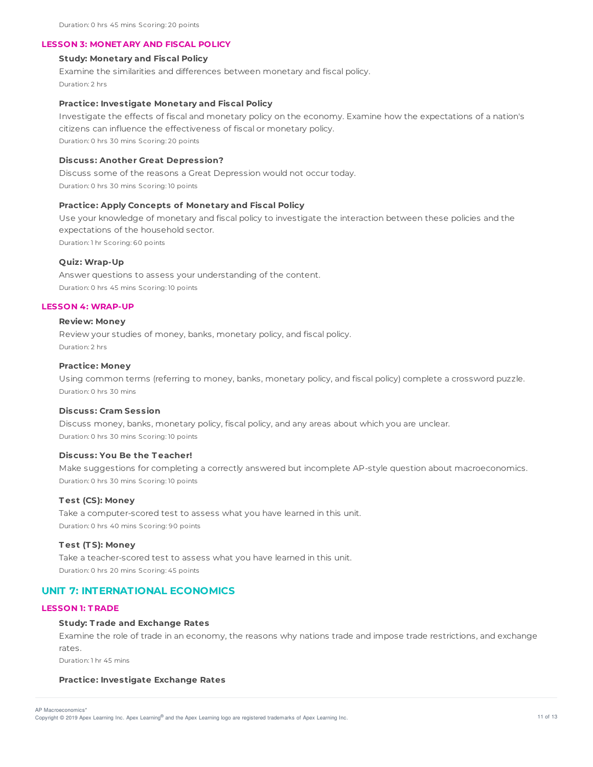### **LESSON 3: MONET ARY AND FISCAL POLICY**

## **Study: Monetary and Fiscal Policy**

Examine the similarities and differences between monetary and fiscal policy. Duration: 2 hrs

### **Practice: Investigate Monetary and Fiscal Policy**

Investigate the effects of fiscal and monetary policy on the economy. Examine how the expectations of a nation's citizens can influence the effectiveness of fiscal or monetary policy. Duration: 0 hrs 30 mins Scoring: 20 points

#### **Discuss: Another Great Depression?**

Discuss some of the reasons a Great Depression would not occur today. Duration: 0 hrs 30 mins Scoring: 10 points

### **Practice: Apply Concepts of Monetary and Fiscal Policy**

Use your knowledge of monetary and fiscal policy to investigate the interaction between these policies and the expectations of the household sector.

Duration: 1 hr Scoring: 60 points

#### **Quiz: Wrap-Up**

Answer questions to assess your understanding of the content. Duration: 0 hrs 45 mins Scoring: 10 points

#### **LESSON 4: WRAP-UP**

#### **Review: Money**

Review your studies of money, banks, monetary policy, and fiscal policy. Duration: 2 hrs

## **Practice: Money**

Using common terms (referring to money, banks, monetary policy, and fiscal policy) complete a crossword puzzle. Duration: 0 hrs 30 mins

#### **Discuss: Cram Session**

Discuss money, banks, monetary policy, fiscal policy, and any areas about which you are unclear. Duration: 0 hrs 30 mins Scoring: 10 points

### **Discuss: You Be the T eacher!**

Make suggestions for completing a correctly answered but incomplete AP-style question about macroeconomics. Duration: 0 hrs 30 mins Scoring: 10 points

## **T est (CS): Money**

Take a computer-scored test to assess what you have learned in this unit. Duration: 0 hrs 40 mins Scoring: 90 points

#### **T est (T S): Money**

Take a teacher-scored test to assess what you have learned in this unit. Duration: 0 hrs 20 mins Scoring: 45 points

## **UNIT 7: INTERNATIONAL ECONOMICS**

## **LESSON 1: T RADE**

### **Study: T rade and Exchange Rates**

Examine the role of trade in an economy, the reasons why nations trade and impose trade restrictions, and exchange rates.

Duration: 1 hr 45 mins

#### **Practice: Investigate Exchange Rates**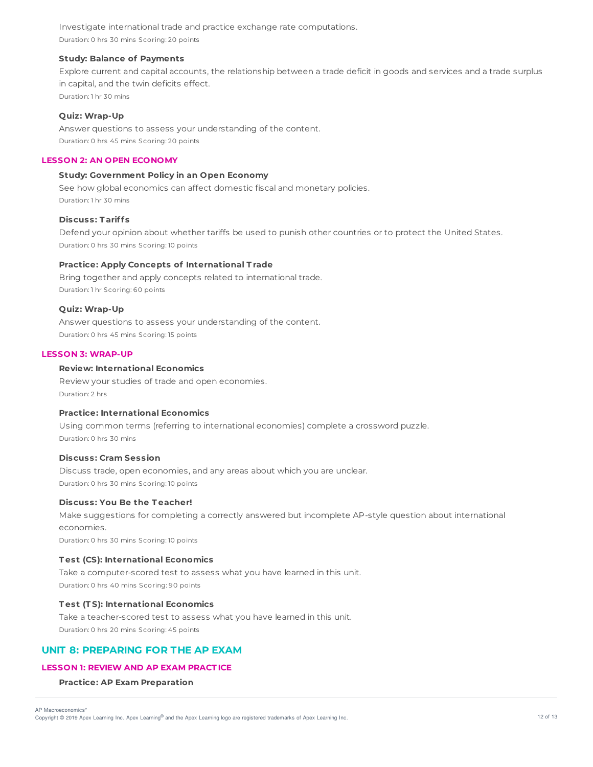Investigate international trade and practice exchange rate computations. Duration: 0 hrs 30 mins Scoring: 20 points

## **Study: Balance of Payments**

Explore current and capital accounts, the relationship between a trade deficit in goods and services and a trade surplus in capital, and the twin deficits effect. Duration: 1 hr 30 mins

### **Quiz: Wrap-Up**

Answer questions to assess your understanding of the content. Duration: 0 hrs 45 mins Scoring: 20 points

## **LESSON 2: AN OPEN ECONOMY**

# **Study: Government Policy in an Open Economy**

See how global economics can affect domestic fiscal and monetary policies. Duration: 1 hr 30 mins

### **Discuss: T ariffs**

Defend your opinion about whether tariffs be used to punish other countries or to protect the United States. Duration: 0 hrs 30 mins Scoring: 10 points

## **Practice: Apply Concepts of International T rade**

Bring together and apply concepts related to international trade. Duration: 1 hr Scoring: 60 points

## **Quiz: Wrap-Up**

Answer questions to assess your understanding of the content. Duration: 0 hrs 45 mins Scoring: 15 points

## **LESSON 3: WRAP-UP**

## **Review: International Economics**

Review your studies of trade and open economies. Duration: 2 hrs

## **Practice: International Economics**

Using common terms (referring to international economies) complete a crossword puzzle. Duration: 0 hrs 30 mins

## **Discuss: Cram Session**

Discuss trade, open economies, and any areas about which you are unclear. Duration: 0 hrs 30 mins Scoring: 10 points

### **Discuss: You Be the T eacher!**

Make suggestions for completing a correctly answered but incomplete AP-style question about international economies. Duration: 0 hrs 30 mins Scoring: 10 points

## **T est (CS): International Economics**

Take a computer-scored test to assess what you have learned in this unit. Duration: 0 hrs 40 mins Scoring: 90 points

## **T est (T S): International Economics**

Take a teacher-scored test to assess what you have learned in this unit. Duration: 0 hrs 20 mins Scoring: 45 points

# **UNIT 8: PREPARING FOR THE AP EXAM**

## **LESSON 1: REVIEW AND AP EXAM PRACT ICE**

### **Practice: AP Exam Preparation**